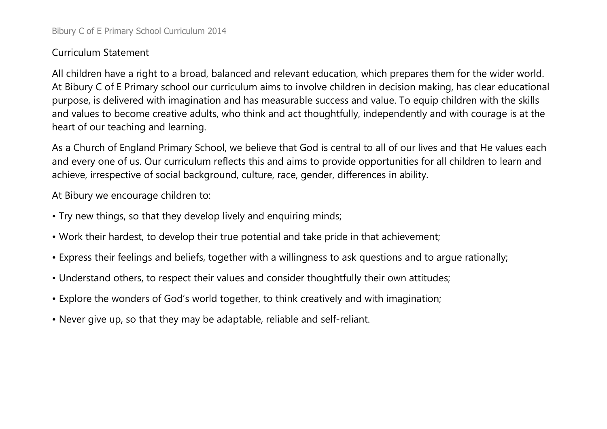## Curriculum Statement

All children have a right to a broad, balanced and relevant education, which prepares them for the wider world. At Bibury C of E Primary school our curriculum aims to involve children in decision making, has clear educational purpose, is delivered with imagination and has measurable success and value. To equip children with the skills and values to become creative adults, who think and act thoughtfully, independently and with courage is at the heart of our teaching and learning.

As a Church of England Primary School, we believe that God is central to all of our lives and that He values each and every one of us. Our curriculum reflects this and aims to provide opportunities for all children to learn and achieve, irrespective of social background, culture, race, gender, differences in ability.

At Bibury we encourage children to:

- Try new things, so that they develop lively and enquiring minds;
- Work their hardest, to develop their true potential and take pride in that achievement;
- Express their feelings and beliefs, together with a willingness to ask questions and to argue rationally;
- Understand others, to respect their values and consider thoughtfully their own attitudes;
- Explore the wonders of God's world together, to think creatively and with imagination;
- Never give up, so that they may be adaptable, reliable and self-reliant.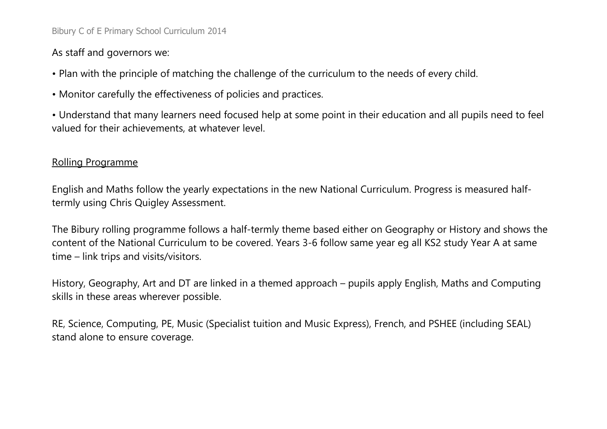# As staff and governors we:

- Plan with the principle of matching the challenge of the curriculum to the needs of every child.
- Monitor carefully the effectiveness of policies and practices.
- Understand that many learners need focused help at some point in their education and all pupils need to feel valued for their achievements, at whatever level.

## Rolling Programme

English and Maths follow the yearly expectations in the new National Curriculum. Progress is measured halftermly using Chris Quigley Assessment.

The Bibury rolling programme follows a half-termly theme based either on Geography or History and shows the content of the National Curriculum to be covered. Years 3-6 follow same year eg all KS2 study Year A at same time – link trips and visits/visitors.

History, Geography, Art and DT are linked in a themed approach – pupils apply English, Maths and Computing skills in these areas wherever possible.

RE, Science, Computing, PE, Music (Specialist tuition and Music Express), French, and PSHEE (including SEAL) stand alone to ensure coverage.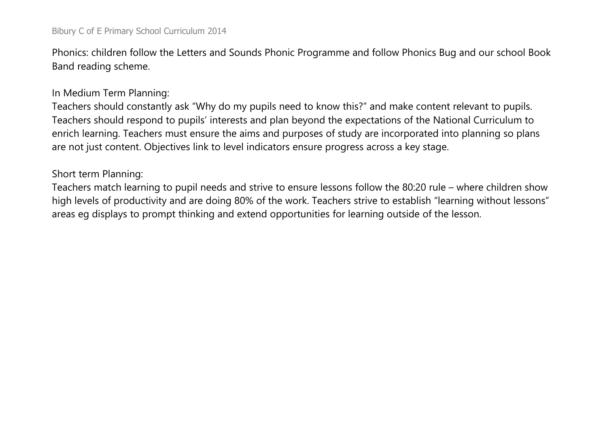#### Bibury C of E Primary School Curriculum 2014

Phonics: children follow the Letters and Sounds Phonic Programme and follow Phonics Bug and our school Book Band reading scheme.

#### In Medium Term Planning:

Teachers should constantly ask "Why do my pupils need to know this?" and make content relevant to pupils. Teachers should respond to pupils' interests and plan beyond the expectations of the National Curriculum to enrich learning. Teachers must ensure the aims and purposes of study are incorporated into planning so plans are not just content. Objectives link to level indicators ensure progress across a key stage.

### Short term Planning:

Teachers match learning to pupil needs and strive to ensure lessons follow the 80:20 rule – where children show high levels of productivity and are doing 80% of the work. Teachers strive to establish "learning without lessons" areas eg displays to prompt thinking and extend opportunities for learning outside of the lesson.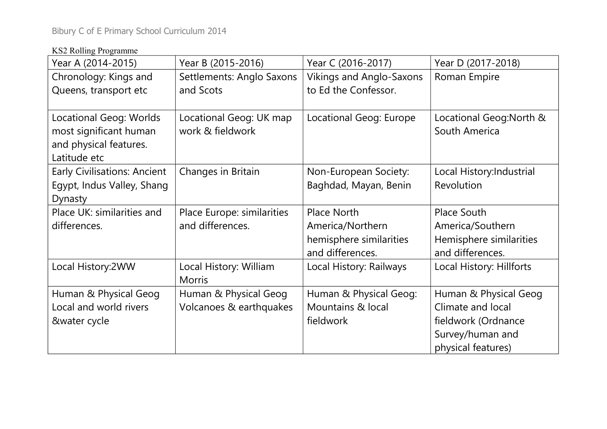## KS2 Rolling Programme

| Year A (2014-2015)                                                                          | Year B (2015-2016)                               | Year C (2016-2017)                                                             | Year D (2017-2018)                                                                                          |  |
|---------------------------------------------------------------------------------------------|--------------------------------------------------|--------------------------------------------------------------------------------|-------------------------------------------------------------------------------------------------------------|--|
| Chronology: Kings and<br>Queens, transport etc                                              | Settlements: Anglo Saxons<br>and Scots           | <b>Vikings and Anglo-Saxons</b><br>to Ed the Confessor.                        | Roman Empire                                                                                                |  |
| Locational Geog: Worlds<br>most significant human<br>and physical features.<br>Latitude etc | Locational Geog: UK map<br>work & fieldwork      | Locational Geog: Europe                                                        | Locational Geog: North &<br>South America                                                                   |  |
| <b>Early Civilisations: Ancient</b><br>Egypt, Indus Valley, Shang<br>Dynasty                | Changes in Britain                               | Non-European Society:<br>Baghdad, Mayan, Benin                                 | Local History: Industrial<br>Revolution                                                                     |  |
| Place UK: similarities and<br>differences.                                                  | Place Europe: similarities<br>and differences.   | Place North<br>America/Northern<br>hemisphere similarities<br>and differences. | <b>Place South</b><br>America/Southern<br>Hemisphere similarities<br>and differences.                       |  |
| Local History:2WW                                                                           | Local History: William<br><b>Morris</b>          | Local History: Railways                                                        | Local History: Hillforts                                                                                    |  |
| Human & Physical Geog<br>Local and world rivers<br>&water cycle                             | Human & Physical Geog<br>Volcanoes & earthquakes | Human & Physical Geog:<br>Mountains & local<br>fieldwork                       | Human & Physical Geog<br>Climate and local<br>fieldwork (Ordnance<br>Survey/human and<br>physical features) |  |